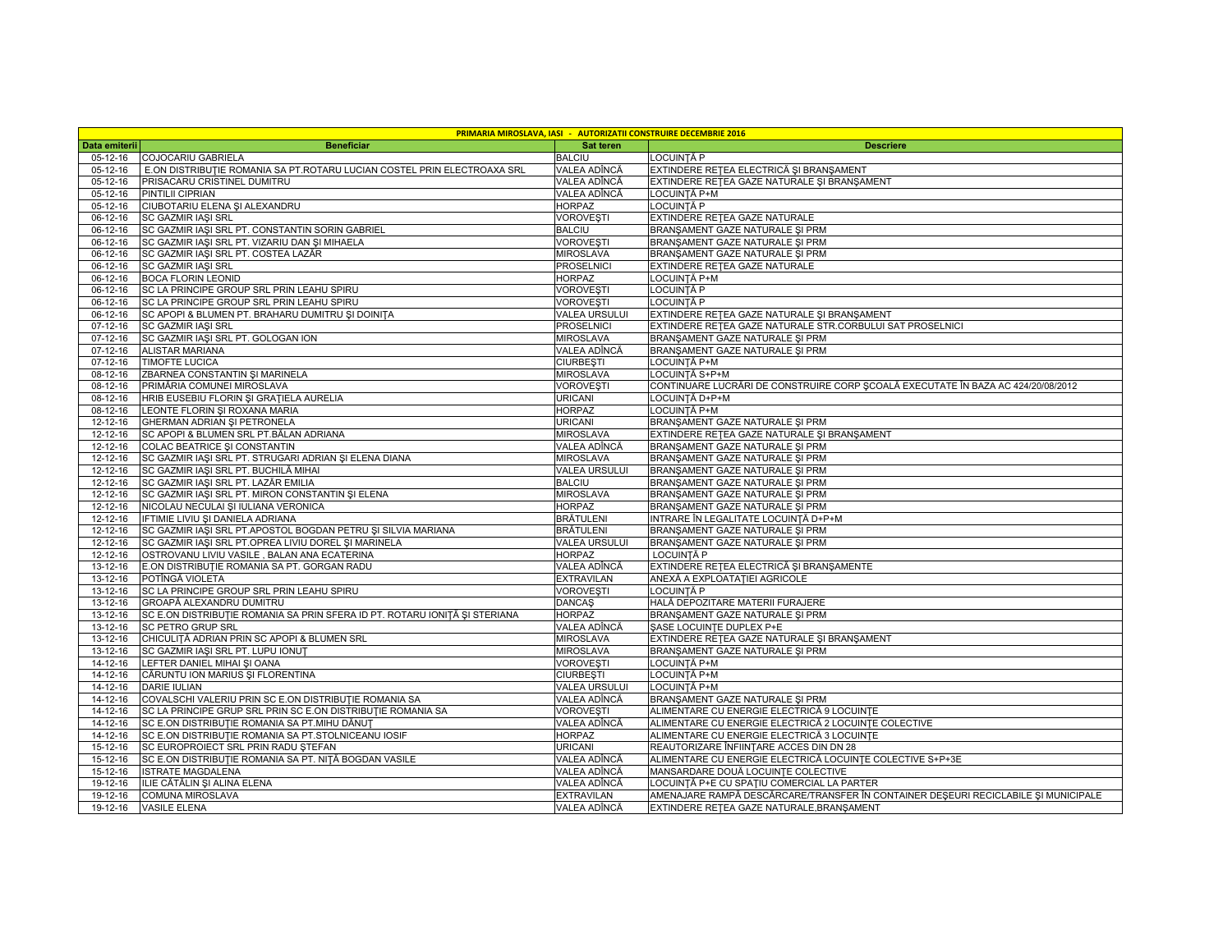|                      |                                                                            |                                   | <b>PRIMARIA MIROSLAVA, IASI - AUTORIZATII CONSTRUIRE DECEMBRIE 2016</b>            |
|----------------------|----------------------------------------------------------------------------|-----------------------------------|------------------------------------------------------------------------------------|
| Data emiterii        | <b>Beneficiar</b>                                                          | Sat teren                         | <b>Descriere</b>                                                                   |
| 05-12-16             | COJOCARIU GABRIELA                                                         | <b>BALCIU</b>                     | LOCUINTĂ P                                                                         |
| 05-12-16             | E.ON DISTRIBUTIE ROMANIA SA PT.ROTARU LUCIAN COSTEL PRIN ELECTROAXA SRL    | VALEA ADÎNCĂ                      | EXTINDERE REȚEA ELECTRICĂ ȘI BRANȘAMENT                                            |
| 05-12-16             | PRISACARU CRISTINEL DUMITRU                                                | VALEA ADÎNCĂ                      | EXTINDERE RETEA GAZE NATURALE ȘI BRANȘAMENT                                        |
| 05-12-16             | PINTILII CIPRIAN                                                           | VALEA ADÎNCĂ                      | LOCUINȚĂ P+M                                                                       |
| 05-12-16             | CIUBOTARIU ELENA ȘI ALEXANDRU                                              | <b>HORPAZ</b>                     | LOCUINTĂ P                                                                         |
| 06-12-16             | <b>SC GAZMIR IAŞI SRL</b>                                                  | <b>VOROVESTI</b>                  | EXTINDERE RETEA GAZE NATURALE                                                      |
| 06-12-16             | SC GAZMIR IAȘI SRL PT. CONSTANTIN SORIN GABRIEL                            | <b>BALCIU</b>                     | BRANŞAMENT GAZE NATURALE ŞI PRM                                                    |
| 06-12-16             | SC GAZMIR IAŞI SRL PT. VIZARIU DAN ŞI MIHAELA                              | <b>VOROVEȘTI</b>                  | BRANŞAMENT GAZE NATURALE ŞI PRM                                                    |
| 06-12-16             | SC GAZMIR IAȘI SRL PT. COSTEA LAZĂR                                        | <b>MIROSLAVA</b>                  | BRANŞAMENT GAZE NATURALE ŞI PRM                                                    |
| 06-12-16             | SC GAZMIR IAŞI SRL                                                         | <b>PROSELNICI</b>                 | EXTINDERE RETEA GAZE NATURALE                                                      |
| 06-12-16             | <b>BOCA FLORIN LEONID</b>                                                  | <b>HORPAZ</b>                     | LOCUINȚĂ P+M                                                                       |
| 06-12-16             | SC LA PRINCIPE GROUP SRL PRIN LEAHU SPIRU                                  | <b>VOROVEȘTI</b>                  | LOCUINTĂ P                                                                         |
| 06-12-16             | SC LA PRINCIPE GROUP SRL PRIN LEAHU SPIRU                                  | <b>VOROVEȘTI</b>                  | LOCUINTĂ P                                                                         |
| 06-12-16             | SC APOPI & BLUMEN PT. BRAHARU DUMITRU ȘI DOINITA                           | <b>VALEA URSULUI</b>              | EXTINDERE RETEA GAZE NATURALE ȘI BRANȘAMENT                                        |
| 07-12-16             | SC GAZMIR IAŞI SRL                                                         | <b>PROSELNICI</b>                 | EXTINDERE RETEA GAZE NATURALE STR.CORBULUI SAT PROSELNICI                          |
| 07-12-16             | SC GAZMIR IAŞI SRL PT. GOLOGAN ION                                         | <b>MIROSLAVA</b>                  | BRANŞAMENT GAZE NATURALE ŞI PRM                                                    |
| 07-12-16             | <b>ALISTAR MARIANA</b>                                                     | VALEA ADÎNCĂ                      | BRANSAMENT GAZE NATURALE SI PRM                                                    |
| 07-12-16             | <b>TIMOFTE LUCICA</b>                                                      | <b>CIURBEȘTI</b>                  | LOCUINȚĂ P+M                                                                       |
| 08-12-16             | ZBARNEA CONSTANTIN ȘI MARINELA                                             | <b>MIROSLAVA</b>                  | LOCUINȚĂ S+P+M                                                                     |
| 08-12-16             | PRIMĂRIA COMUNEI MIROSLAVA                                                 | <b>VOROVEȘTI</b>                  | CONTINUARE LUCRĂRI DE CONSTRUIRE CORP ȘCOALĂ EXECUTATE ÎN BAZA AC 424/20/08/2012   |
| 08-12-16             | HRIB EUSEBIU FLORIN ȘI GRAȚIELA AURELIA                                    | <b>URICANI</b>                    | LOCUINȚĂ D+P+M                                                                     |
| 08-12-16             | LEONTE FLORIN ȘI ROXANA MARIA                                              | <b>HORPAZ</b>                     | LOCUINȚĂ P+M                                                                       |
| 12-12-16             | GHERMAN ADRIAN ȘI PETRONELA                                                | <b>URICANI</b>                    | BRANŞAMENT GAZE NATURALE ŞI PRM                                                    |
| 12-12-16             | SC APOPI & BLUMEN SRL PT.BĂLAN ADRIANA                                     | <b>MIROSLAVA</b>                  | EXTINDERE RETEA GAZE NATURALE ȘI BRANȘAMENT                                        |
| 12-12-16             | COLAC BEATRICE ȘI CONSTANTIN                                               | VALEA ADÎNCĂ                      | BRANSAMENT GAZE NATURALE SI PRM                                                    |
| 12-12-16             | SC GAZMIR IAŞI SRL PT. STRUGARI ADRIAN ŞI ELENA DIANA                      | <b>MIROSLAVA</b>                  | BRANSAMENT GAZE NATURALE SI PRM                                                    |
| 12-12-16             | SC GAZMIR IAȘI SRL PT. BUCHILĂ MIHAI                                       | <b>VALEA URSULUI</b>              | BRANŞAMENT GAZE NATURALE ŞI PRM                                                    |
| 12-12-16             | SC GAZMIR IAȘI SRL PT. LAZĂR EMILIA                                        | <b>BALCIU</b>                     | BRANSAMENT GAZE NATURALE SI PRM                                                    |
| 12-12-16             | SC GAZMIR IAŞI SRL PT. MIRON CONSTANTIN ŞI ELENA                           | <b>MIROSLAVA</b>                  | BRANŞAMENT GAZE NATURALE ŞI PRM                                                    |
| 12-12-16             | NICOLAU NECULAI ȘI IULIANA VERONICA                                        | <b>HORPAZ</b>                     | BRANŞAMENT GAZE NATURALE ŞI PRM                                                    |
| 12-12-16             | IFTIMIE LIVIU ȘI DANIELA ADRIANA                                           | <b>BRĂTULENI</b>                  | INTRARE ÎN LEGALITATE LOCUINȚĂ D+P+M                                               |
| 12-12-16             | SC GAZMIR IAȘI SRL PT.APOSTOL BOGDAN PETRU ȘI SILVIA MARIANA               | <b>BRÄTULENI</b>                  | BRANŞAMENT GAZE NATURALE ŞI PRM                                                    |
| 12-12-16             | SC GAZMIR IAȘI SRL PT.OPREA LIVIU DOREL ȘI MARINELA                        | <b>VALEA URSULUI</b>              | BRANŞAMENT GAZE NATURALE ŞI PRM                                                    |
| 12-12-16             | OSTROVANU LIVIU VASILE, BALAN ANA ECATERINA                                | <b>HORPAZ</b>                     | LOCUINTĂ P                                                                         |
| 13-12-16             | E.ON DISTRIBUTIE ROMANIA SA PT. GORGAN RADU                                | VALEA ADÎNCĂ                      | EXTINDERE REȚEA ELECTRICĂ ȘI BRANȘAMENTE                                           |
| 13-12-16             | POTÎNGĂ VIOLETA                                                            | <b>EXTRAVILAN</b>                 | ANEXĂ A EXPLOATAȚIEI AGRICOLE                                                      |
| $13 - 12 - 16$       | SC LA PRINCIPE GROUP SRL PRIN LEAHU SPIRU                                  | <b>VOROVEȘTI</b>                  | LOCUINTĂ P                                                                         |
| 13-12-16             | GROAPĂ ALEXANDRU DUMITRU                                                   | <b>DANCAŞ</b>                     | HALĂ DEPOZITARE MATERII FURAJERE                                                   |
| 13-12-16             | SC E.ON DISTRIBUȚIE ROMANIA SA PRIN SFERA ID PT. ROTARU IONIȚĂ ȘI STERIANA | <b>HORPAZ</b>                     | BRANŞAMENT GAZE NATURALE ŞI PRM                                                    |
| 13-12-16             | <b>SC PETRO GRUP SRL</b>                                                   | VALEA ADÎNCĂ                      | <b>ŞASE LOCUINTE DUPLEX P+E</b>                                                    |
| 13-12-16             | CHICULITĂ ADRIAN PRIN SC APOPI & BLUMEN SRL                                | <b>MIROSLAVA</b>                  | EXTINDERE RETEA GAZE NATURALE ȘI BRANȘAMENT                                        |
| 13-12-16             | SC GAZMIR IAȘI SRL PT. LUPU IONUȚ                                          | <b>MIROSLAVA</b>                  | BRANŞAMENT GAZE NATURALE ŞI PRM                                                    |
| 14-12-16             | LEFTER DANIEL MIHAI ȘI OANA                                                | <b>VOROVEȘTI</b>                  | LOCUINȚĂ P+M                                                                       |
| 14-12-16             | CĂRUNTU ION MARIUS ȘI FLORENTINA                                           | <b>CIURBEȘTI</b>                  | LOCUINȚĂ P+M                                                                       |
| 14-12-16             | <b>DARIE IULIAN</b>                                                        | <b>VALEA URSULUI</b>              | LOCUINȚĂ P+M                                                                       |
| 14-12-16             | COVALSCHI VALERIU PRIN SC E.ON DISTRIBUȚIE ROMANIA SA                      | VALEA ADÎNCĂ                      | BRANŞAMENT GAZE NATURALE ŞI PRM                                                    |
| 14-12-16             | SC LA PRINCIPE GRUP SRL PRIN SC E.ON DISTRIBUTIE ROMANIA SA                | <b>VOROVEȘTI</b>                  | ALIMENTARE CU ENERGIE ELECTRICĂ 9 LOCUINȚE                                         |
| 14-12-16             | SC E.ON DISTRIBUTIE ROMANIA SA PT.MIHU DĂNUT                               | VALEA ADÎNCĂ                      | ALIMENTARE CU ENERGIE ELECTRICĂ 2 LOCUINTE COLECTIVE                               |
| 14-12-16             | SC E.ON DISTRIBUTIE ROMANIA SA PT.STOLNICEANU IOSIF                        | <b>HORPAZ</b>                     | ALIMENTARE CU ENERGIE ELECTRICĂ 3 LOCUINȚE                                         |
| 15-12-16             | SC EUROPROIECT SRL PRIN RADU STEFAN                                        | <b>URICANI</b>                    | REAUTORIZARE ÎNFIINȚARE ACCES DIN DN 28                                            |
|                      | 15-12-16 SC E.ON DISTRIBUTIE ROMANIA SA PT. NITĂ BOGDAN VASILE             | VALEA ADÎNCĂ                      | ALIMENTARE CU ENERGIE ELECTRICĂ LOCUINȚE COLECTIVE S+P+3E                          |
| 15-12-16             | <b>ISTRATE MAGDALENA</b>                                                   | VALEA ADÎNCĂ                      | MANSARDARE DOUĂ LOCUINȚE COLECTIVE                                                 |
| 19-12-16             | ILIE CĂTĂLIN ȘI ALINA ELENA                                                | VALEA ADÎNCĂ                      | LOCUINȚĂ P+E CU SPAȚIU COMERCIAL LA PARTER                                         |
|                      |                                                                            |                                   | AMENAJARE RAMPĂ DESCĂRCARE/TRANSFER ÎN CONTAINER DESEURI RECICLABILE ȘI MUNICIPALE |
| 19-12-16<br>19-12-16 | <b>COMUNA MIROSLAVA</b><br><b>VASILE ELENA</b>                             | <b>EXTRAVILAN</b><br>VALEA ADÎNCĂ | EXTINDERE RETEA GAZE NATURALE, BRANSAMENT                                          |